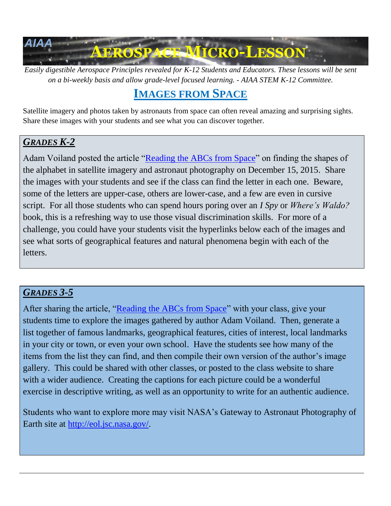

*Easily digestible Aerospace Principles revealed for K-12 Students and Educators. These lessons will be sent on a bi-weekly basis and allow grade-level focused learning. - AIAA STEM K-12 Committee.*

# **IMAGES FROM SPACE**

Satellite imagery and photos taken by astronauts from space can often reveal amazing and surprising sights. Share these images with your students and see what you can discover together.

## *GRADES K-2*

Adam Voiland posted the article ["Reading the ABCs from Space"](http://earthobservatory.nasa.gov/Features/ABC/) on finding the shapes of the alphabet in satellite imagery and astronaut photography on December 15, 2015. Share the images with your students and see if the class can find the letter in each one. Beware, some of the letters are upper-case, others are lower-case, and a few are even in cursive script. For all those students who can spend hours poring over an *I Spy* or *Where's Waldo?* book, this is a refreshing way to use those visual discrimination skills. For more of a challenge, you could have your students visit the hyperlinks below each of the images and see what sorts of geographical features and natural phenomena begin with each of the letters.

# *GRADES 3-5*

After sharing the article, ["Reading the ABCs from Space"](http://earthobservatory.nasa.gov/Features/ABC/) with your class, give your students time to explore the images gathered by author Adam Voiland. Then, generate a list together of famous landmarks, geographical features, cities of interest, local landmarks in your city or town, or even your own school. Have the students see how many of the items from the list they can find, and then compile their own version of the author's image gallery. This could be shared with other classes, or posted to the class website to share with a wider audience. Creating the captions for each picture could be a wonderful exercise in descriptive writing, as well as an opportunity to write for an authentic audience.

Students who want to explore more may visit NASA's Gateway to Astronaut Photography of Earth site at [http://eol.jsc.nasa.gov/.](http://eol.jsc.nasa.gov/)